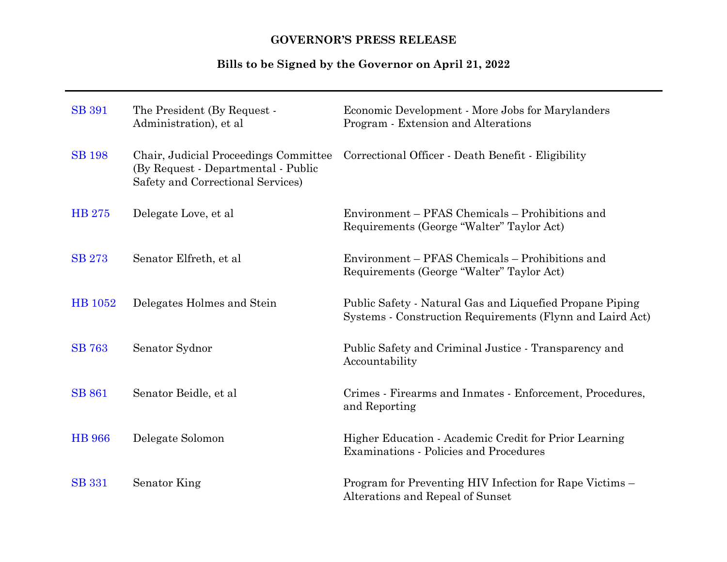# **GOVERNOR'S PRESS RELEASE**

# **Bills to be Signed by the Governor on April 21, 2022**

| <b>SB</b> 391 | The President (By Request -<br>Administration), et al.                                                            | Economic Development - More Jobs for Marylanders<br>Program - Extension and Alterations                               |
|---------------|-------------------------------------------------------------------------------------------------------------------|-----------------------------------------------------------------------------------------------------------------------|
| <b>SB</b> 198 | Chair, Judicial Proceedings Committee<br>(By Request - Departmental - Public<br>Safety and Correctional Services) | Correctional Officer - Death Benefit - Eligibility                                                                    |
| <b>HB</b> 275 | Delegate Love, et al                                                                                              | Environment - PFAS Chemicals - Prohibitions and<br>Requirements (George "Walter" Taylor Act)                          |
| <b>SB 273</b> | Senator Elfreth, et al                                                                                            | Environment – PFAS Chemicals – Prohibitions and<br>Requirements (George "Walter" Taylor Act)                          |
| HB 1052       | Delegates Holmes and Stein                                                                                        | Public Safety - Natural Gas and Liquefied Propane Piping<br>Systems - Construction Requirements (Flynn and Laird Act) |
| <b>SB</b> 763 | Senator Sydnor                                                                                                    | Public Safety and Criminal Justice - Transparency and<br>Accountability                                               |
| <b>SB 861</b> | Senator Beidle, et al                                                                                             | Crimes - Firearms and Inmates - Enforcement, Procedures,<br>and Reporting                                             |
| <b>HB</b> 966 | Delegate Solomon                                                                                                  | Higher Education - Academic Credit for Prior Learning<br><b>Examinations - Policies and Procedures</b>                |
| <b>SB</b> 331 | Senator King                                                                                                      | Program for Preventing HIV Infection for Rape Victims -<br>Alterations and Repeal of Sunset                           |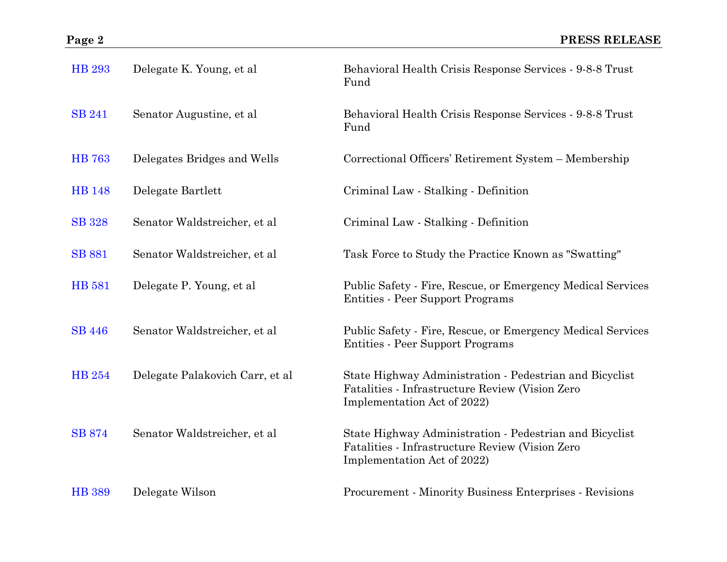| <b>HB</b> 293 | Delegate K. Young, et al.       | Behavioral Health Crisis Response Services - 9-8-8 Trust<br>Fund                                                                          |
|---------------|---------------------------------|-------------------------------------------------------------------------------------------------------------------------------------------|
| <b>SB 241</b> | Senator Augustine, et al.       | Behavioral Health Crisis Response Services - 9-8-8 Trust<br>Fund                                                                          |
| <b>HB</b> 763 | Delegates Bridges and Wells     | Correctional Officers' Retirement System - Membership                                                                                     |
| <b>HB</b> 148 | Delegate Bartlett               | Criminal Law - Stalking - Definition                                                                                                      |
| <b>SB</b> 328 | Senator Waldstreicher, et al    | Criminal Law - Stalking - Definition                                                                                                      |
| <b>SB</b> 881 | Senator Waldstreicher, et al    | Task Force to Study the Practice Known as "Swatting"                                                                                      |
| <b>HB</b> 581 | Delegate P. Young, et al        | Public Safety - Fire, Rescue, or Emergency Medical Services<br><b>Entities - Peer Support Programs</b>                                    |
| <b>SB</b> 446 | Senator Waldstreicher, et al    | Public Safety - Fire, Rescue, or Emergency Medical Services<br>Entities - Peer Support Programs                                           |
| <b>HB</b> 254 | Delegate Palakovich Carr, et al | State Highway Administration - Pedestrian and Bicyclist<br>Fatalities - Infrastructure Review (Vision Zero<br>Implementation Act of 2022) |
| <b>SB</b> 874 | Senator Waldstreicher, et al    | State Highway Administration - Pedestrian and Bicyclist<br>Fatalities - Infrastructure Review (Vision Zero<br>Implementation Act of 2022) |
| <b>HB</b> 389 | Delegate Wilson                 | Procurement - Minority Business Enterprises - Revisions                                                                                   |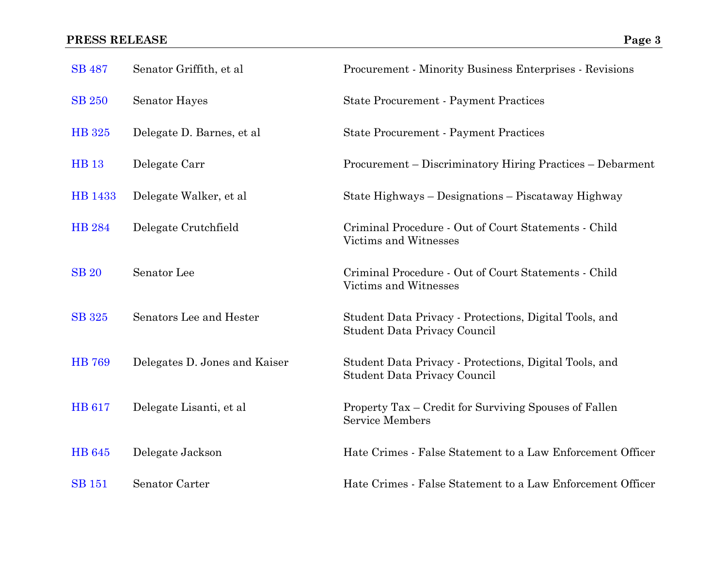| <b>SB</b> 487 | Senator Griffith, et al       | Procurement - Minority Business Enterprises - Revisions                                |
|---------------|-------------------------------|----------------------------------------------------------------------------------------|
| <b>SB 250</b> | <b>Senator Hayes</b>          | <b>State Procurement - Payment Practices</b>                                           |
| HB 325        | Delegate D. Barnes, et al.    | <b>State Procurement - Payment Practices</b>                                           |
| <b>HB</b> 13  | Delegate Carr                 | Procurement – Discriminatory Hiring Practices – Debarment                              |
| HB 1433       | Delegate Walker, et al.       | State Highways – Designations – Piscataway Highway                                     |
| <b>HB 284</b> | Delegate Crutchfield          | Criminal Procedure - Out of Court Statements - Child<br>Victims and Witnesses          |
| <b>SB 20</b>  | Senator Lee                   | Criminal Procedure - Out of Court Statements - Child<br>Victims and Witnesses          |
| <b>SB</b> 325 | Senators Lee and Hester       | Student Data Privacy - Protections, Digital Tools, and<br>Student Data Privacy Council |
| <b>HB</b> 769 | Delegates D. Jones and Kaiser | Student Data Privacy - Protections, Digital Tools, and<br>Student Data Privacy Council |
| <b>HB</b> 617 | Delegate Lisanti, et al       | Property Tax – Credit for Surviving Spouses of Fallen<br><b>Service Members</b>        |
| <b>HB</b> 645 | Delegate Jackson              | Hate Crimes - False Statement to a Law Enforcement Officer                             |
| <b>SB</b> 151 | Senator Carter                | Hate Crimes - False Statement to a Law Enforcement Officer                             |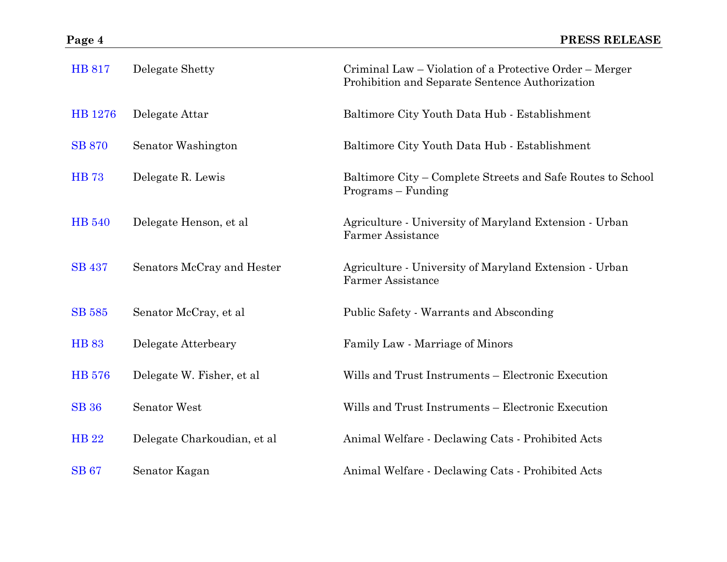| <b>HB 817</b> | Delegate Shetty             | Criminal Law – Violation of a Protective Order – Merger<br>Prohibition and Separate Sentence Authorization |
|---------------|-----------------------------|------------------------------------------------------------------------------------------------------------|
| HB 1276       | Delegate Attar              | Baltimore City Youth Data Hub - Establishment                                                              |
| <b>SB 870</b> | Senator Washington          | Baltimore City Youth Data Hub - Establishment                                                              |
| <b>HB</b> 73  | Delegate R. Lewis           | Baltimore City – Complete Streets and Safe Routes to School<br>Programs – Funding                          |
| <b>HB</b> 540 | Delegate Henson, et al.     | Agriculture - University of Maryland Extension - Urban<br><b>Farmer Assistance</b>                         |
| <b>SB 437</b> | Senators McCray and Hester  | Agriculture - University of Maryland Extension - Urban<br><b>Farmer Assistance</b>                         |
| <b>SB</b> 585 | Senator McCray, et al       | Public Safety - Warrants and Absconding                                                                    |
| <b>HB 83</b>  | Delegate Atterbeary         | Family Law - Marriage of Minors                                                                            |
| <b>HB</b> 576 | Delegate W. Fisher, et al.  | Wills and Trust Instruments - Electronic Execution                                                         |
| <b>SB</b> 36  | <b>Senator West</b>         | Wills and Trust Instruments - Electronic Execution                                                         |
| <b>HB 22</b>  | Delegate Charkoudian, et al | Animal Welfare - Declawing Cats - Prohibited Acts                                                          |
| <b>SB</b> 67  | Senator Kagan               | Animal Welfare - Declawing Cats - Prohibited Acts                                                          |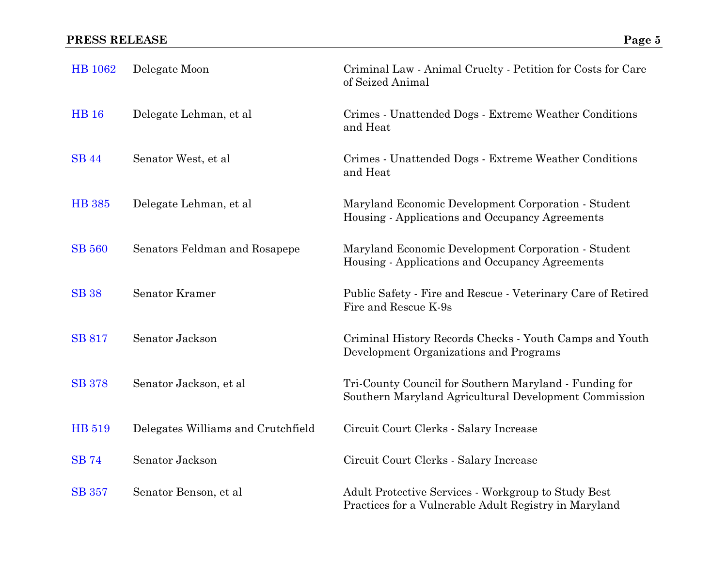| <b>HB</b> 1062 | Delegate Moon                      | Criminal Law - Animal Cruelty - Petition for Costs for Care<br>of Seized Animal                                 |
|----------------|------------------------------------|-----------------------------------------------------------------------------------------------------------------|
| <b>HB</b> 16   | Delegate Lehman, et al             | Crimes - Unattended Dogs - Extreme Weather Conditions<br>and Heat                                               |
| <b>SB</b> 44   | Senator West, et al                | Crimes - Unattended Dogs - Extreme Weather Conditions<br>and Heat                                               |
| <b>HB</b> 385  | Delegate Lehman, et al.            | Maryland Economic Development Corporation - Student<br>Housing - Applications and Occupancy Agreements          |
| <b>SB 560</b>  | Senators Feldman and Rosapepe      | Maryland Economic Development Corporation - Student<br>Housing - Applications and Occupancy Agreements          |
| <b>SB</b> 38   | <b>Senator Kramer</b>              | Public Safety - Fire and Rescue - Veterinary Care of Retired<br>Fire and Rescue K-9s                            |
| <b>SB 817</b>  | Senator Jackson                    | Criminal History Records Checks - Youth Camps and Youth<br>Development Organizations and Programs               |
| <b>SB</b> 378  | Senator Jackson, et al.            | Tri-County Council for Southern Maryland - Funding for<br>Southern Maryland Agricultural Development Commission |
| HB 519         | Delegates Williams and Crutchfield | Circuit Court Clerks - Salary Increase                                                                          |
| <b>SB</b> 74   | Senator Jackson                    | Circuit Court Clerks - Salary Increase                                                                          |
| <b>SB</b> 357  | Senator Benson, et al              | Adult Protective Services - Workgroup to Study Best<br>Practices for a Vulnerable Adult Registry in Maryland    |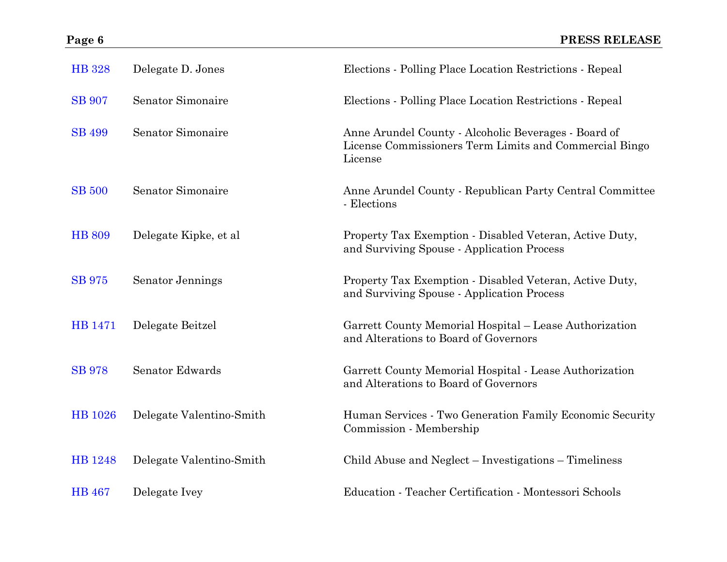| <b>HB</b> 328  | Delegate D. Jones        | Elections - Polling Place Location Restrictions - Repeal                                                                  |
|----------------|--------------------------|---------------------------------------------------------------------------------------------------------------------------|
| <b>SB</b> 907  | Senator Simonaire        | Elections - Polling Place Location Restrictions - Repeal                                                                  |
| <b>SB 499</b>  | Senator Simonaire        | Anne Arundel County - Alcoholic Beverages - Board of<br>License Commissioners Term Limits and Commercial Bingo<br>License |
| <b>SB 500</b>  | Senator Simonaire        | Anne Arundel County - Republican Party Central Committee<br>- Elections                                                   |
| <b>HB 809</b>  | Delegate Kipke, et al    | Property Tax Exemption - Disabled Veteran, Active Duty,<br>and Surviving Spouse - Application Process                     |
| <b>SB</b> 975  | Senator Jennings         | Property Tax Exemption - Disabled Veteran, Active Duty,<br>and Surviving Spouse - Application Process                     |
| <b>HB</b> 1471 | Delegate Beitzel         | Garrett County Memorial Hospital - Lease Authorization<br>and Alterations to Board of Governors                           |
| <b>SB</b> 978  | Senator Edwards          | Garrett County Memorial Hospital - Lease Authorization<br>and Alterations to Board of Governors                           |
| HB 1026        | Delegate Valentino-Smith | Human Services - Two Generation Family Economic Security<br>Commission - Membership                                       |
| HB 1248        | Delegate Valentino-Smith | Child Abuse and Neglect – Investigations – Timeliness                                                                     |
| <b>HB</b> 467  | Delegate Ivey            | Education - Teacher Certification - Montessori Schools                                                                    |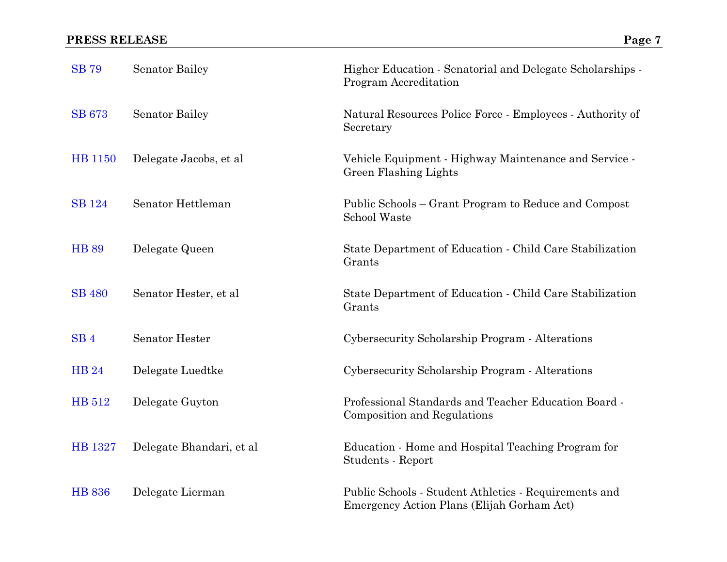| <b>SB</b> 79    | <b>Senator Bailey</b>    | Higher Education - Senatorial and Delegate Scholarships -<br>Program Accreditation                  |
|-----------------|--------------------------|-----------------------------------------------------------------------------------------------------|
| <b>SB 673</b>   | <b>Senator Bailey</b>    | Natural Resources Police Force - Employees - Authority of<br>Secretary                              |
| HB 1150         | Delegate Jacobs, et al.  | Vehicle Equipment - Highway Maintenance and Service -<br>Green Flashing Lights                      |
| <b>SB</b> 124   | Senator Hettleman        | Public Schools – Grant Program to Reduce and Compost<br>School Waste                                |
| <b>HB 89</b>    | Delegate Queen           | State Department of Education - Child Care Stabilization<br>Grants                                  |
| <b>SB 480</b>   | Senator Hester, et al    | State Department of Education - Child Care Stabilization<br>Grants                                  |
| SB <sub>4</sub> | <b>Senator Hester</b>    | Cybersecurity Scholarship Program - Alterations                                                     |
| <b>HB24</b>     | Delegate Luedtke         | Cybersecurity Scholarship Program - Alterations                                                     |
| HB 512          | Delegate Guyton          | Professional Standards and Teacher Education Board -<br><b>Composition and Regulations</b>          |
| HB 1327         | Delegate Bhandari, et al | Education - Home and Hospital Teaching Program for<br>Students - Report                             |
| <b>HB 836</b>   | Delegate Lierman         | Public Schools - Student Athletics - Requirements and<br>Emergency Action Plans (Elijah Gorham Act) |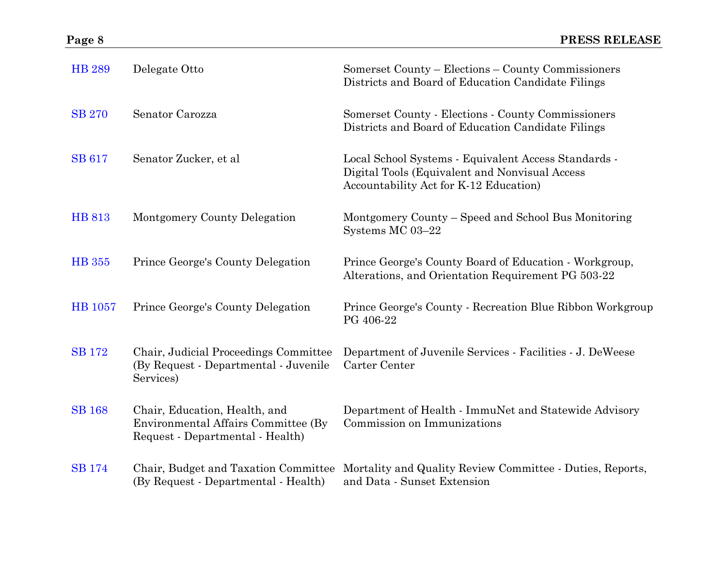| <b>HB 289</b>  | Delegate Otto                                                                                            | Somerset County – Elections – County Commissioners<br>Districts and Board of Education Candidate Filings                                         |
|----------------|----------------------------------------------------------------------------------------------------------|--------------------------------------------------------------------------------------------------------------------------------------------------|
| <b>SB 270</b>  | Senator Carozza                                                                                          | Somerset County - Elections - County Commissioners<br>Districts and Board of Education Candidate Filings                                         |
| <b>SB 617</b>  | Senator Zucker, et al                                                                                    | Local School Systems - Equivalent Access Standards -<br>Digital Tools (Equivalent and Nonvisual Access<br>Accountability Act for K-12 Education) |
| <b>HB 813</b>  | Montgomery County Delegation                                                                             | Montgomery County – Speed and School Bus Monitoring<br>Systems MC 03-22                                                                          |
| <b>HB</b> 355  | Prince George's County Delegation                                                                        | Prince George's County Board of Education - Workgroup,<br>Alterations, and Orientation Requirement PG 503-22                                     |
| <b>HB</b> 1057 | Prince George's County Delegation                                                                        | Prince George's County - Recreation Blue Ribbon Workgroup<br>PG 406-22                                                                           |
| <b>SB</b> 172  | Chair, Judicial Proceedings Committee<br>(By Request - Departmental - Juvenile<br>Services)              | Department of Juvenile Services - Facilities - J. DeWeese<br>Carter Center                                                                       |
| <b>SB 168</b>  | Chair, Education, Health, and<br>Environmental Affairs Committee (By<br>Request - Departmental - Health) | Department of Health - ImmuNet and Statewide Advisory<br>Commission on Immunizations                                                             |
| <b>SB</b> 174  | (By Request - Departmental - Health)                                                                     | Chair, Budget and Taxation Committee Mortality and Quality Review Committee - Duties, Reports,<br>and Data - Sunset Extension                    |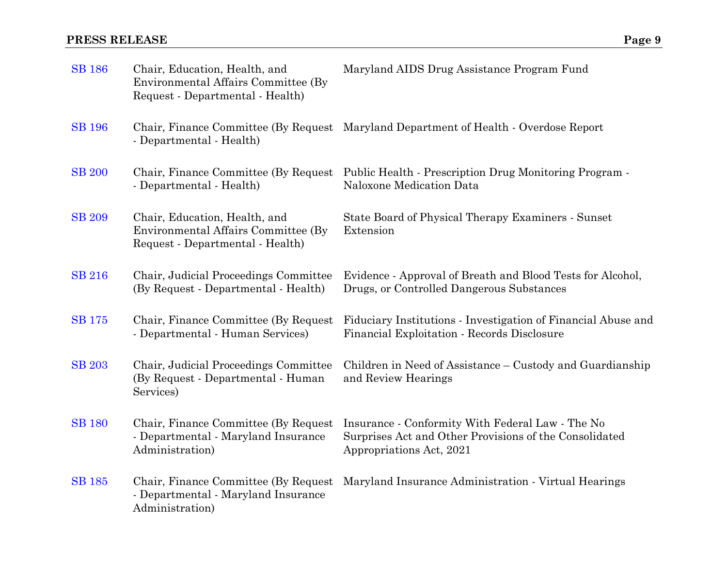| <b>SB</b> 186 | Chair, Education, Health, and<br>Environmental Affairs Committee (By)<br>Request - Departmental - Health) | Maryland AIDS Drug Assistance Program Fund                                                                                             |
|---------------|-----------------------------------------------------------------------------------------------------------|----------------------------------------------------------------------------------------------------------------------------------------|
| <b>SB</b> 196 | - Departmental - Health)                                                                                  | Chair, Finance Committee (By Request Maryland Department of Health - Overdose Report                                                   |
| <b>SB 200</b> | Chair, Finance Committee (By Request<br>- Departmental - Health)                                          | Public Health - Prescription Drug Monitoring Program -<br>Naloxone Medication Data                                                     |
| <b>SB 209</b> | Chair, Education, Health, and<br>Environmental Affairs Committee (By<br>Request - Departmental - Health)  | State Board of Physical Therapy Examiners - Sunset<br>Extension                                                                        |
| <b>SB 216</b> | Chair, Judicial Proceedings Committee<br>(By Request - Departmental - Health)                             | Evidence - Approval of Breath and Blood Tests for Alcohol,<br>Drugs, or Controlled Dangerous Substances                                |
| <b>SB</b> 175 | Chair, Finance Committee (By Request)<br>- Departmental - Human Services)                                 | Fiduciary Institutions - Investigation of Financial Abuse and<br>Financial Exploitation - Records Disclosure                           |
| <b>SB</b> 203 | Chair, Judicial Proceedings Committee<br>(By Request - Departmental - Human<br>Services)                  | Children in Need of Assistance – Custody and Guardianship<br>and Review Hearings                                                       |
| <b>SB 180</b> | Chair, Finance Committee (By Request)<br>- Departmental - Maryland Insurance<br>Administration)           | Insurance - Conformity With Federal Law - The No<br>Surprises Act and Other Provisions of the Consolidated<br>Appropriations Act, 2021 |
| <b>SB</b> 185 | Chair, Finance Committee (By Request)<br>- Departmental - Maryland Insurance<br>Administration)           | Maryland Insurance Administration - Virtual Hearings                                                                                   |